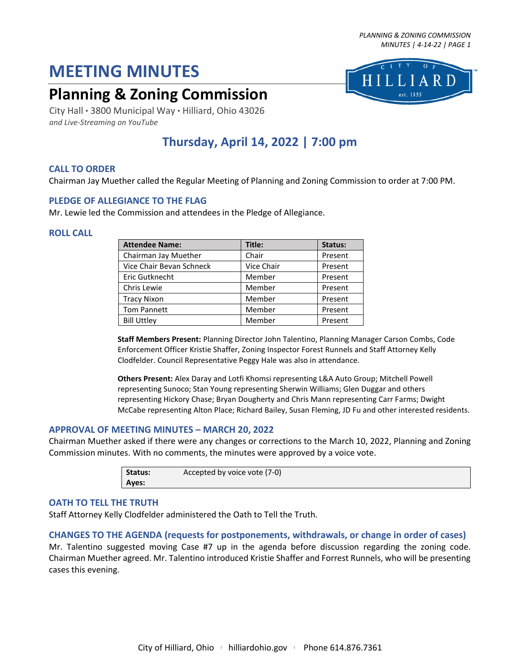# **MEETING MINUTES**

# **Planning & Zoning Commission**

est. 1853

City Hall · 3800 Municipal Way · Hilliard, Ohio 43026 *and Live-Streaming on YouTube*

# **Thursday, April 14, 2022 | 7:00 pm**

# **CALL TO ORDER**

Chairman Jay Muether called the Regular Meeting of Planning and Zoning Commission to order at 7:00 PM.

# **PLEDGE OF ALLEGIANCE TO THE FLAG**

Mr. Lewie led the Commission and attendees in the Pledge of Allegiance.

#### **ROLL CALL**

| <b>Attendee Name:</b>    | Title:     | Status: |
|--------------------------|------------|---------|
| Chairman Jay Muether     | Chair      | Present |
| Vice Chair Bevan Schneck | Vice Chair | Present |
| Eric Gutknecht           | Member     | Present |
| Chris Lewie              | Member     | Present |
| <b>Tracy Nixon</b>       | Member     | Present |
| <b>Tom Pannett</b>       | Member     | Present |
| <b>Bill Uttley</b>       | Member     | Present |

**Staff Members Present:** Planning Director John Talentino, Planning Manager Carson Combs, Code Enforcement Officer Kristie Shaffer, Zoning Inspector Forest Runnels and Staff Attorney Kelly Clodfelder. Council Representative Peggy Hale was also in attendance.

**Others Present:** Alex Daray and Lotfi Khomsi representing L&A Auto Group; Mitchell Powell representing Sunoco; Stan Young representing Sherwin Williams; Glen Duggar and others representing Hickory Chase; Bryan Dougherty and Chris Mann representing Carr Farms; Dwight McCabe representing Alton Place; Richard Bailey, Susan Fleming, JD Fu and other interested residents.

# **APPROVAL OF MEETING MINUTES – MARCH 20, 2022**

Chairman Muether asked if there were any changes or corrections to the March 10, 2022, Planning and Zoning Commission minutes. With no comments, the minutes were approved by a voice vote.

| Status: | Accepted by voice vote (7-0) |
|---------|------------------------------|
| Ayes:   |                              |

#### **OATH TO TELL THE TRUTH**

Staff Attorney Kelly Clodfelder administered the Oath to Tell the Truth.

# **CHANGES TO THE AGENDA (requests for postponements, withdrawals, or change in order of cases)**

Mr. Talentino suggested moving Case #7 up in the agenda before discussion regarding the zoning code. Chairman Muether agreed. Mr. Talentino introduced Kristie Shaffer and Forrest Runnels, who will be presenting cases this evening.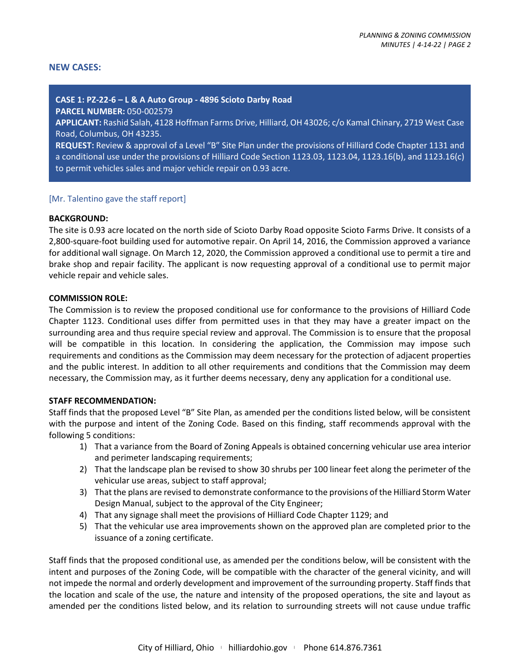#### **NEW CASES:**

#### **CASE 1: PZ-22-6 – L & A Auto Group - 4896 Scioto Darby Road**

**PARCEL NUMBER:** 050-002579

**APPLICANT:** Rashid Salah, 4128 Hoffman Farms Drive, Hilliard, OH 43026; c/o Kamal Chinary, 2719 West Case Road, Columbus, OH 43235.

**REQUEST:** Review & approval of a Level "B" Site Plan under the provisions of Hilliard Code Chapter 1131 and a conditional use under the provisions of Hilliard Code Section 1123.03, 1123.04, 1123.16(b), and 1123.16(c) to permit vehicles sales and major vehicle repair on 0.93 acre.

#### [Mr. Talentino gave the staff report]

#### **BACKGROUND:**

The site is 0.93 acre located on the north side of Scioto Darby Road opposite Scioto Farms Drive. It consists of a 2,800-square-foot building used for automotive repair. On April 14, 2016, the Commission approved a variance for additional wall signage. On March 12, 2020, the Commission approved a conditional use to permit a tire and brake shop and repair facility. The applicant is now requesting approval of a conditional use to permit major vehicle repair and vehicle sales.

#### **COMMISSION ROLE:**

The Commission is to review the proposed conditional use for conformance to the provisions of Hilliard Code Chapter 1123. Conditional uses differ from permitted uses in that they may have a greater impact on the surrounding area and thus require special review and approval. The Commission is to ensure that the proposal will be compatible in this location. In considering the application, the Commission may impose such requirements and conditions as the Commission may deem necessary for the protection of adjacent properties and the public interest. In addition to all other requirements and conditions that the Commission may deem necessary, the Commission may, as it further deems necessary, deny any application for a conditional use.

#### **STAFF RECOMMENDATION:**

Staff finds that the proposed Level "B" Site Plan, as amended per the conditions listed below, will be consistent with the purpose and intent of the Zoning Code. Based on this finding, staff recommends approval with the following 5 conditions:

- 1) That a variance from the Board of Zoning Appeals is obtained concerning vehicular use area interior and perimeter landscaping requirements;
- 2) That the landscape plan be revised to show 30 shrubs per 100 linear feet along the perimeter of the vehicular use areas, subject to staff approval;
- 3) That the plans are revised to demonstrate conformance to the provisions of the Hilliard Storm Water Design Manual, subject to the approval of the City Engineer;
- 4) That any signage shall meet the provisions of Hilliard Code Chapter 1129; and
- 5) That the vehicular use area improvements shown on the approved plan are completed prior to the issuance of a zoning certificate.

Staff finds that the proposed conditional use, as amended per the conditions below, will be consistent with the intent and purposes of the Zoning Code, will be compatible with the character of the general vicinity, and will not impede the normal and orderly development and improvement of the surrounding property. Staff finds that the location and scale of the use, the nature and intensity of the proposed operations, the site and layout as amended per the conditions listed below, and its relation to surrounding streets will not cause undue traffic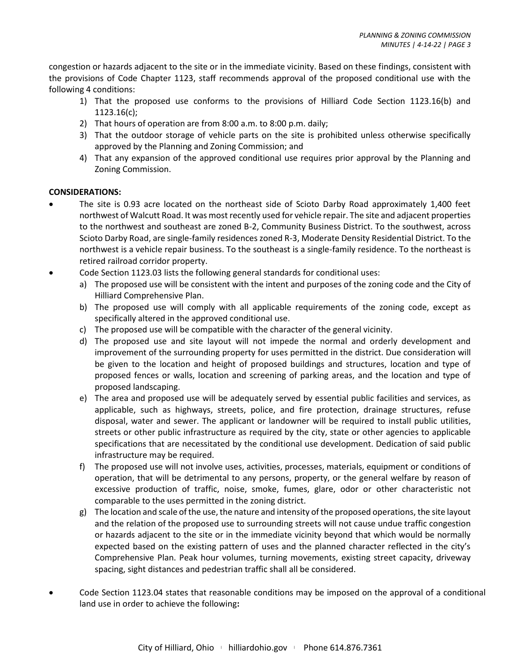congestion or hazards adjacent to the site or in the immediate vicinity. Based on these findings, consistent with the provisions of Code Chapter 1123, staff recommends approval of the proposed conditional use with the following 4 conditions:

- 1) That the proposed use conforms to the provisions of Hilliard Code Section 1123.16(b) and 1123.16(c);
- 2) That hours of operation are from 8:00 a.m. to 8:00 p.m. daily;
- 3) That the outdoor storage of vehicle parts on the site is prohibited unless otherwise specifically approved by the Planning and Zoning Commission; and
- 4) That any expansion of the approved conditional use requires prior approval by the Planning and Zoning Commission.

# **CONSIDERATIONS:**

- The site is 0.93 acre located on the northeast side of Scioto Darby Road approximately 1,400 feet northwest of Walcutt Road. It was most recently used for vehicle repair. The site and adjacent properties to the northwest and southeast are zoned B-2, Community Business District. To the southwest, across Scioto Darby Road, are single-family residences zoned R-3, Moderate Density Residential District. To the northwest is a vehicle repair business. To the southeast is a single-family residence. To the northeast is retired railroad corridor property.
- Code Section 1123.03 lists the following general standards for conditional uses:
	- a) The proposed use will be consistent with the intent and purposes of the zoning code and the City of Hilliard Comprehensive Plan.
	- b) The proposed use will comply with all applicable requirements of the zoning code, except as specifically altered in the approved conditional use.
	- c) The proposed use will be compatible with the character of the general vicinity.
	- d) The proposed use and site layout will not impede the normal and orderly development and improvement of the surrounding property for uses permitted in the district. Due consideration will be given to the location and height of proposed buildings and structures, location and type of proposed fences or walls, location and screening of parking areas, and the location and type of proposed landscaping.
	- e) The area and proposed use will be adequately served by essential public facilities and services, as applicable, such as highways, streets, police, and fire protection, drainage structures, refuse disposal, water and sewer. The applicant or landowner will be required to install public utilities, streets or other public infrastructure as required by the city, state or other agencies to applicable specifications that are necessitated by the conditional use development. Dedication of said public infrastructure may be required.
	- f) The proposed use will not involve uses, activities, processes, materials, equipment or conditions of operation, that will be detrimental to any persons, property, or the general welfare by reason of excessive production of traffic, noise, smoke, fumes, glare, odor or other characteristic not comparable to the uses permitted in the zoning district.
	- g) The location and scale of the use, the nature and intensity of the proposed operations, the site layout and the relation of the proposed use to surrounding streets will not cause undue traffic congestion or hazards adjacent to the site or in the immediate vicinity beyond that which would be normally expected based on the existing pattern of uses and the planned character reflected in the city's Comprehensive Plan. Peak hour volumes, turning movements, existing street capacity, driveway spacing, sight distances and pedestrian traffic shall all be considered.
- Code Section 1123.04 states that reasonable conditions may be imposed on the approval of a conditional land use in order to achieve the following**:**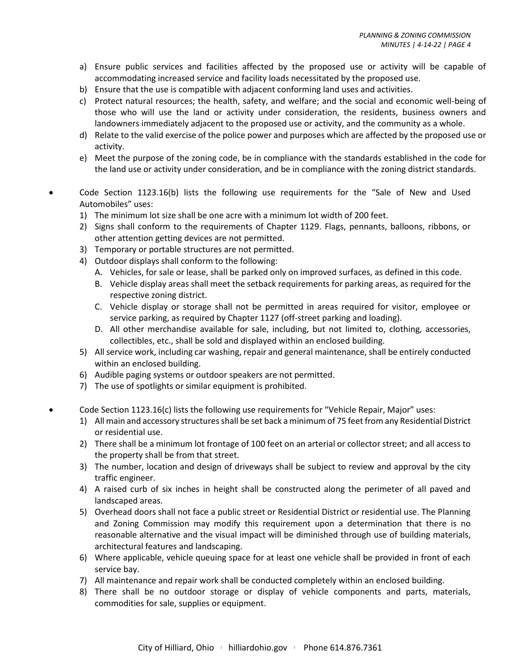- a) Ensure public services and facilities affected by the proposed use or activity will be capable of accommodating increased service and facility loads necessitated by the proposed use.
- b) Ensure that the use is compatible with adjacent conforming land uses and activities.
- c) Protect natural resources; the health, safety, and welfare; and the social and economic well-being of those who will use the land or activity under consideration, the residents, business owners and landowners immediately adjacent to the proposed use or activity, and the community as a whole.
- d) Relate to the valid exercise of the police power and purposes which are affected by the proposed use or activity.
- e) Meet the purpose of the zoning code, be in compliance with the standards established in the code for the land use or activity under consideration, and be in compliance with the zoning district standards.
- Code Section 1123.16(b) lists the following use requirements for the "Sale of New and Used Automobiles" uses:
	- 1) The minimum lot size shall be one acre with a minimum lot width of 200 feet.
	- 2) Signs shall conform to the requirements of Chapter 1129. Flags, pennants, balloons, ribbons, or other attention getting devices are not permitted.
	- 3) Temporary or portable structures are not permitted.
	- 4) Outdoor displays shall conform to the following:
		- A. Vehicles, for sale or lease, shall be parked only on improved surfaces, as defined in this code.
		- B. Vehicle display areas shall meet the setback requirements for parking areas, as required for the respective zoning district.
		- C. Vehicle display or storage shall not be permitted in areas required for visitor, employee or service parking, as required by Chapter 1127 (off-street parking and loading).
		- D. All other merchandise available for sale, including, but not limited to, clothing, accessories, collectibles, etc., shall be sold and displayed within an enclosed building.
	- 5) All service work, including car washing, repair and general maintenance, shall be entirely conducted within an enclosed building.
	- 6) Audible paging systems or outdoor speakers are not permitted.
	- 7) The use of spotlights or similar equipment is prohibited.
- Code Section 1123.16(c) lists the following use requirements for "Vehicle Repair, Major" uses:
	- 1) All main and accessory structures shall be set back a minimum of 75 feet from any Residential District or residential use.
	- 2) There shall be a minimum lot frontage of 100 feet on an arterial or collector street; and all access to the property shall be from that street.
	- 3) The number, location and design of driveways shall be subject to review and approval by the city traffic engineer.
	- 4) A raised curb of six inches in height shall be constructed along the perimeter of all paved and landscaped areas.
	- 5) Overhead doors shall not face a public street or Residential District or residential use. The Planning and Zoning Commission may modify this requirement upon a determination that there is no reasonable alternative and the visual impact will be diminished through use of building materials, architectural features and landscaping.
	- 6) Where applicable, vehicle queuing space for at least one vehicle shall be provided in front of each service bay.
	- 7) All maintenance and repair work shall be conducted completely within an enclosed building.
	- 8) There shall be no outdoor storage or display of vehicle components and parts, materials, commodities for sale, supplies or equipment.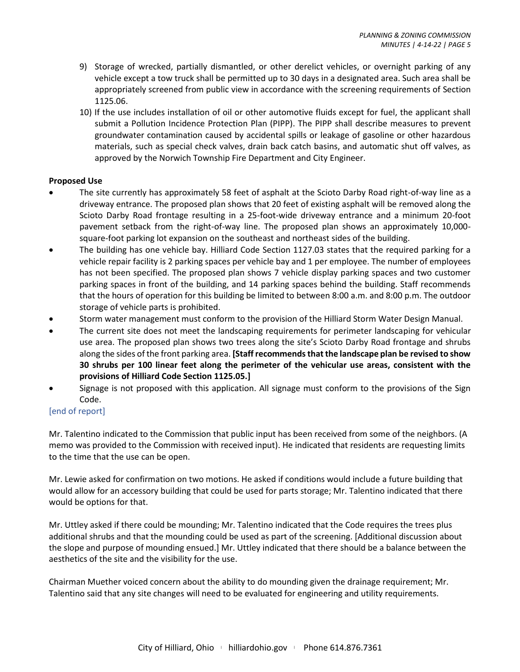- 9) Storage of wrecked, partially dismantled, or other derelict vehicles, or overnight parking of any vehicle except a tow truck shall be permitted up to 30 days in a designated area. Such area shall be appropriately screened from public view in accordance with the screening requirements of [Section](https://library.municode.com/oh/hilliard/codes/code_of_ordinances?nodeId=PTELEVENPLZOCO_CH1125LATRST_1125.06BUSC)  [1125.06.](https://library.municode.com/oh/hilliard/codes/code_of_ordinances?nodeId=PTELEVENPLZOCO_CH1125LATRST_1125.06BUSC)
- 10) If the use includes installation of oil or other automotive fluids except for fuel, the applicant shall submit a Pollution Incidence Protection Plan (PIPP). The PIPP shall describe measures to prevent groundwater contamination caused by accidental spills or leakage of gasoline or other hazardous materials, such as special check valves, drain back catch basins, and automatic shut off valves, as approved by the Norwich Township Fire Department and City Engineer.

#### **Proposed Use**

- The site currently has approximately 58 feet of asphalt at the Scioto Darby Road right-of-way line as a driveway entrance. The proposed plan shows that 20 feet of existing asphalt will be removed along the Scioto Darby Road frontage resulting in a 25-foot-wide driveway entrance and a minimum 20-foot pavement setback from the right-of-way line. The proposed plan shows an approximately 10,000 square-foot parking lot expansion on the southeast and northeast sides of the building.
- The building has one vehicle bay. Hilliard Code Section 1127.03 states that the required parking for a vehicle repair facility is 2 parking spaces per vehicle bay and 1 per employee. The number of employees has not been specified. The proposed plan shows 7 vehicle display parking spaces and two customer parking spaces in front of the building, and 14 parking spaces behind the building. Staff recommends that the hours of operation for this building be limited to between 8:00 a.m. and 8:00 p.m. The outdoor storage of vehicle parts is prohibited.
- Storm water management must conform to the provision of the Hilliard Storm Water Design Manual.
- The current site does not meet the landscaping requirements for perimeter landscaping for vehicular use area. The proposed plan shows two trees along the site's Scioto Darby Road frontage and shrubs along the sides of the front parking area. **[Staff recommends that the landscape plan be revised to show 30 shrubs per 100 linear feet along the perimeter of the vehicular use areas, consistent with the provisions of Hilliard Code Section 1125.05.]**
- Signage is not proposed with this application. All signage must conform to the provisions of the Sign Code.

# [end of report]

Mr. Talentino indicated to the Commission that public input has been received from some of the neighbors. (A memo was provided to the Commission with received input). He indicated that residents are requesting limits to the time that the use can be open.

Mr. Lewie asked for confirmation on two motions. He asked if conditions would include a future building that would allow for an accessory building that could be used for parts storage; Mr. Talentino indicated that there would be options for that.

Mr. Uttley asked if there could be mounding; Mr. Talentino indicated that the Code requires the trees plus additional shrubs and that the mounding could be used as part of the screening. [Additional discussion about the slope and purpose of mounding ensued.] Mr. Uttley indicated that there should be a balance between the aesthetics of the site and the visibility for the use.

Chairman Muether voiced concern about the ability to do mounding given the drainage requirement; Mr. Talentino said that any site changes will need to be evaluated for engineering and utility requirements.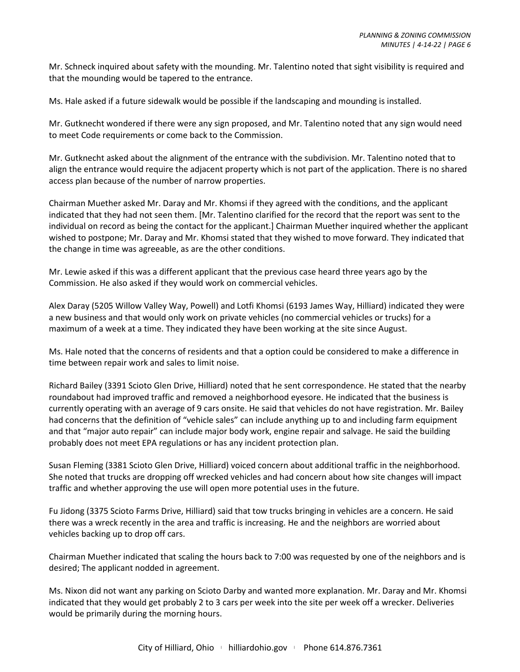Mr. Schneck inquired about safety with the mounding. Mr. Talentino noted that sight visibility is required and that the mounding would be tapered to the entrance.

Ms. Hale asked if a future sidewalk would be possible if the landscaping and mounding is installed.

Mr. Gutknecht wondered if there were any sign proposed, and Mr. Talentino noted that any sign would need to meet Code requirements or come back to the Commission.

Mr. Gutknecht asked about the alignment of the entrance with the subdivision. Mr. Talentino noted that to align the entrance would require the adjacent property which is not part of the application. There is no shared access plan because of the number of narrow properties.

Chairman Muether asked Mr. Daray and Mr. Khomsi if they agreed with the conditions, and the applicant indicated that they had not seen them. [Mr. Talentino clarified for the record that the report was sent to the individual on record as being the contact for the applicant.] Chairman Muether inquired whether the applicant wished to postpone; Mr. Daray and Mr. Khomsi stated that they wished to move forward. They indicated that the change in time was agreeable, as are the other conditions.

Mr. Lewie asked if this was a different applicant that the previous case heard three years ago by the Commission. He also asked if they would work on commercial vehicles.

Alex Daray (5205 Willow Valley Way, Powell) and Lotfi Khomsi (6193 James Way, Hilliard) indicated they were a new business and that would only work on private vehicles (no commercial vehicles or trucks) for a maximum of a week at a time. They indicated they have been working at the site since August.

Ms. Hale noted that the concerns of residents and that a option could be considered to make a difference in time between repair work and sales to limit noise.

Richard Bailey (3391 Scioto Glen Drive, Hilliard) noted that he sent correspondence. He stated that the nearby roundabout had improved traffic and removed a neighborhood eyesore. He indicated that the business is currently operating with an average of 9 cars onsite. He said that vehicles do not have registration. Mr. Bailey had concerns that the definition of "vehicle sales" can include anything up to and including farm equipment and that "major auto repair" can include major body work, engine repair and salvage. He said the building probably does not meet EPA regulations or has any incident protection plan.

Susan Fleming (3381 Scioto Glen Drive, Hilliard) voiced concern about additional traffic in the neighborhood. She noted that trucks are dropping off wrecked vehicles and had concern about how site changes will impact traffic and whether approving the use will open more potential uses in the future.

Fu Jidong (3375 Scioto Farms Drive, Hilliard) said that tow trucks bringing in vehicles are a concern. He said there was a wreck recently in the area and traffic is increasing. He and the neighbors are worried about vehicles backing up to drop off cars.

Chairman Muether indicated that scaling the hours back to 7:00 was requested by one of the neighbors and is desired; The applicant nodded in agreement.

Ms. Nixon did not want any parking on Scioto Darby and wanted more explanation. Mr. Daray and Mr. Khomsi indicated that they would get probably 2 to 3 cars per week into the site per week off a wrecker. Deliveries would be primarily during the morning hours.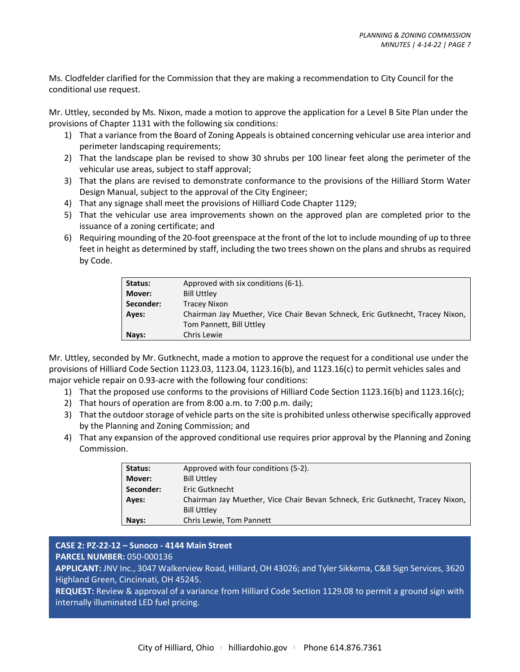Ms. Clodfelder clarified for the Commission that they are making a recommendation to City Council for the conditional use request.

Mr. Uttley, seconded by Ms. Nixon, made a motion to approve the application for a Level B Site Plan under the provisions of Chapter 1131 with the following six conditions:

- 1) That a variance from the Board of Zoning Appeals is obtained concerning vehicular use area interior and perimeter landscaping requirements;
- 2) That the landscape plan be revised to show 30 shrubs per 100 linear feet along the perimeter of the vehicular use areas, subject to staff approval;
- 3) That the plans are revised to demonstrate conformance to the provisions of the Hilliard Storm Water Design Manual, subject to the approval of the City Engineer;
- 4) That any signage shall meet the provisions of Hilliard Code Chapter 1129;
- 5) That the vehicular use area improvements shown on the approved plan are completed prior to the issuance of a zoning certificate; and
- 6) Requiring mounding of the 20-foot greenspace at the front of the lot to include mounding of up to three feet in height as determined by staff, including the two trees shown on the plans and shrubs as required by Code.

| Status:      | Approved with six conditions (6-1).                                           |
|--------------|-------------------------------------------------------------------------------|
| Mover:       | <b>Bill Uttley</b>                                                            |
| Seconder:    | Tracey Nixon                                                                  |
| <b>Aves:</b> | Chairman Jay Muether, Vice Chair Bevan Schneck, Eric Gutknecht, Tracey Nixon, |
|              | Tom Pannett, Bill Uttley                                                      |
| Nays:        | Chris Lewie                                                                   |

Mr. Uttley, seconded by Mr. Gutknecht, made a motion to approve the request for a conditional use under the provisions of Hilliard Code Section 1123.03, 1123.04, 1123.16(b), and 1123.16(c) to permit vehicles sales and major vehicle repair on 0.93-acre with the following four conditions:

- 1) That the proposed use conforms to the provisions of Hilliard Code Section 1123.16(b) and 1123.16(c);
- 2) That hours of operation are from 8:00 a.m. to 7:00 p.m. daily;
- 3) That the outdoor storage of vehicle parts on the site is prohibited unless otherwise specifically approved by the Planning and Zoning Commission; and
- 4) That any expansion of the approved conditional use requires prior approval by the Planning and Zoning Commission.

| Status:      | Approved with four conditions (5-2).                                          |
|--------------|-------------------------------------------------------------------------------|
| Mover:       | <b>Bill Uttley</b>                                                            |
| Seconder:    | Eric Gutknecht                                                                |
| <b>Aves:</b> | Chairman Jay Muether, Vice Chair Bevan Schneck, Eric Gutknecht, Tracey Nixon, |
|              | <b>Bill Uttley</b>                                                            |
| Nays:        | Chris Lewie, Tom Pannett                                                      |

#### **CASE 2: PZ-22-12 – Sunoco - 4144 Main Street PARCEL NUMBER:** 050-000136

**APPLICANT:** JNV Inc., 3047 Walkerview Road, Hilliard, OH 43026; and Tyler Sikkema, C&B Sign Services, 3620 Highland Green, Cincinnati, OH 45245.

**REQUEST:** Review & approval of a variance from Hilliard Code Section 1129.08 to permit a ground sign with internally illuminated LED fuel pricing.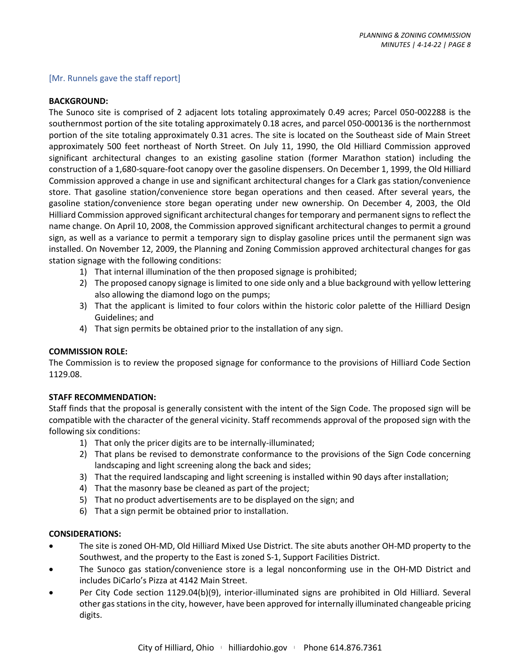#### [Mr. Runnels gave the staff report]

#### **BACKGROUND:**

The Sunoco site is comprised of 2 adjacent lots totaling approximately 0.49 acres; Parcel 050-002288 is the southernmost portion of the site totaling approximately 0.18 acres, and parcel 050-000136 is the northernmost portion of the site totaling approximately 0.31 acres. The site is located on the Southeast side of Main Street approximately 500 feet northeast of North Street. On July 11, 1990, the Old Hilliard Commission approved significant architectural changes to an existing gasoline station (former Marathon station) including the construction of a 1,680-square-foot canopy over the gasoline dispensers. On December 1, 1999, the Old Hilliard Commission approved a change in use and significant architectural changes for a Clark gas station/convenience store. That gasoline station/convenience store began operations and then ceased. After several years, the gasoline station/convenience store began operating under new ownership. On December 4, 2003, the Old Hilliard Commission approved significant architectural changes for temporary and permanent signs to reflect the name change. On April 10, 2008, the Commission approved significant architectural changes to permit a ground sign, as well as a variance to permit a temporary sign to display gasoline prices until the permanent sign was installed. On November 12, 2009, the Planning and Zoning Commission approved architectural changes for gas station signage with the following conditions:

- 1) That internal illumination of the then proposed signage is prohibited;
- 2) The proposed canopy signage is limited to one side only and a blue background with yellow lettering also allowing the diamond logo on the pumps;
- 3) That the applicant is limited to four colors within the historic color palette of the Hilliard Design Guidelines; and
- 4) That sign permits be obtained prior to the installation of any sign.

#### **COMMISSION ROLE:**

The Commission is to review the proposed signage for conformance to the provisions of Hilliard Code Section 1129.08.

#### **STAFF RECOMMENDATION:**

Staff finds that the proposal is generally consistent with the intent of the Sign Code. The proposed sign will be compatible with the character of the general vicinity. Staff recommends approval of the proposed sign with the following six conditions:

- 1) That only the pricer digits are to be internally-illuminated;
- 2) That plans be revised to demonstrate conformance to the provisions of the Sign Code concerning landscaping and light screening along the back and sides;
- 3) That the required landscaping and light screening is installed within 90 days after installation;
- 4) That the masonry base be cleaned as part of the project;
- 5) That no product advertisements are to be displayed on the sign; and
- 6) That a sign permit be obtained prior to installation.

#### **CONSIDERATIONS:**

- The site is zoned OH-MD, Old Hilliard Mixed Use District. The site abuts another OH-MD property to the Southwest, and the property to the East is zoned S-1, Support Facilities District.
- The Sunoco gas station/convenience store is a legal nonconforming use in the OH-MD District and includes DiCarlo's Pizza at 4142 Main Street.
- Per City Code section 1129.04(b)(9), interior-illuminated signs are prohibited in Old Hilliard. Several other gas stations in the city, however, have been approved for internally illuminated changeable pricing digits.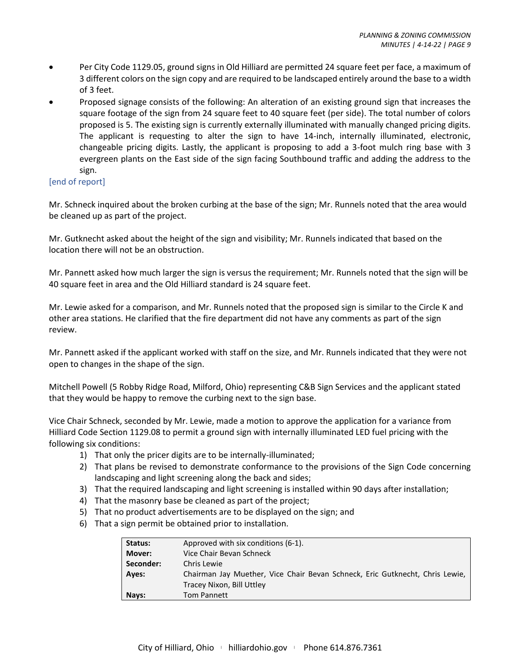- Per City Code 1129.05, ground signs in Old Hilliard are permitted 24 square feet per face, a maximum of 3 different colors on the sign copy and are required to be landscaped entirely around the base to a width of 3 feet.
- Proposed signage consists of the following: An alteration of an existing ground sign that increases the square footage of the sign from 24 square feet to 40 square feet (per side). The total number of colors proposed is 5. The existing sign is currently externally illuminated with manually changed pricing digits. The applicant is requesting to alter the sign to have 14-inch, internally illuminated, electronic, changeable pricing digits. Lastly, the applicant is proposing to add a 3-foot mulch ring base with 3 evergreen plants on the East side of the sign facing Southbound traffic and adding the address to the sign.

#### [end of report]

Mr. Schneck inquired about the broken curbing at the base of the sign; Mr. Runnels noted that the area would be cleaned up as part of the project.

Mr. Gutknecht asked about the height of the sign and visibility; Mr. Runnels indicated that based on the location there will not be an obstruction.

Mr. Pannett asked how much larger the sign is versus the requirement; Mr. Runnels noted that the sign will be 40 square feet in area and the Old Hilliard standard is 24 square feet.

Mr. Lewie asked for a comparison, and Mr. Runnels noted that the proposed sign is similar to the Circle K and other area stations. He clarified that the fire department did not have any comments as part of the sign review.

Mr. Pannett asked if the applicant worked with staff on the size, and Mr. Runnels indicated that they were not open to changes in the shape of the sign.

Mitchell Powell (5 Robby Ridge Road, Milford, Ohio) representing C&B Sign Services and the applicant stated that they would be happy to remove the curbing next to the sign base.

Vice Chair Schneck, seconded by Mr. Lewie, made a motion to approve the application for a variance from Hilliard Code Section 1129.08 to permit a ground sign with internally illuminated LED fuel pricing with the following six conditions:

- 1) That only the pricer digits are to be internally-illuminated;
- 2) That plans be revised to demonstrate conformance to the provisions of the Sign Code concerning landscaping and light screening along the back and sides;
- 3) That the required landscaping and light screening is installed within 90 days after installation;
- 4) That the masonry base be cleaned as part of the project;
- 5) That no product advertisements are to be displayed on the sign; and
- 6) That a sign permit be obtained prior to installation.

| Status:   | Approved with six conditions (6-1).                                          |
|-----------|------------------------------------------------------------------------------|
| Mover:    | Vice Chair Bevan Schneck                                                     |
| Seconder: | Chris Lewie                                                                  |
| Ayes:     | Chairman Jay Muether, Vice Chair Bevan Schneck, Eric Gutknecht, Chris Lewie, |
|           | Tracey Nixon, Bill Uttley                                                    |
| Nays:     | <b>Tom Pannett</b>                                                           |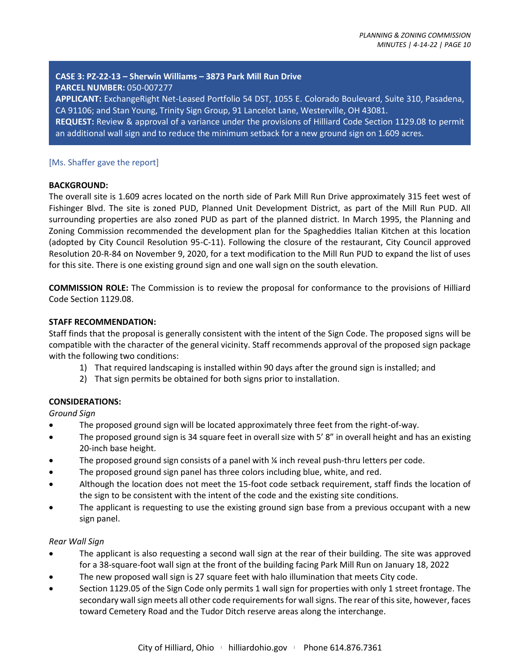# **CASE 3: PZ-22-13 – Sherwin Williams – 3873 Park Mill Run Drive PARCEL NUMBER:** 050-007277

**APPLICANT:** ExchangeRight Net-Leased Portfolio 54 DST, 1055 E. Colorado Boulevard, Suite 310, Pasadena, CA 91106; and Stan Young, Trinity Sign Group, 91 Lancelot Lane, Westerville, OH 43081.

**REQUEST:** Review & approval of a variance under the provisions of Hilliard Code Section 1129.08 to permit an additional wall sign and to reduce the minimum setback for a new ground sign on 1.609 acres.

#### [Ms. Shaffer gave the report]

#### **BACKGROUND:**

The overall site is 1.609 acres located on the north side of Park Mill Run Drive approximately 315 feet west of Fishinger Blvd. The site is zoned PUD, Planned Unit Development District, as part of the Mill Run PUD. All surrounding properties are also zoned PUD as part of the planned district. In March 1995, the Planning and Zoning Commission recommended the development plan for the Spagheddies Italian Kitchen at this location (adopted by City Council Resolution 95-C-11). Following the closure of the restaurant, City Council approved Resolution 20-R-84 on November 9, 2020, for a text modification to the Mill Run PUD to expand the list of uses for this site. There is one existing ground sign and one wall sign on the south elevation.

**COMMISSION ROLE:** The Commission is to review the proposal for conformance to the provisions of Hilliard Code Section 1129.08.

# **STAFF RECOMMENDATION:**

Staff finds that the proposal is generally consistent with the intent of the Sign Code. The proposed signs will be compatible with the character of the general vicinity. Staff recommends approval of the proposed sign package with the following two conditions:

- 1) That required landscaping is installed within 90 days after the ground sign is installed; and
- 2) That sign permits be obtained for both signs prior to installation.

# **CONSIDERATIONS:**

*Ground Sign*

- The proposed ground sign will be located approximately three feet from the right-of-way.
- The proposed ground sign is 34 square feet in overall size with 5' 8" in overall height and has an existing 20-inch base height.
- The proposed ground sign consists of a panel with  $\frac{1}{4}$  inch reveal push-thru letters per code.
- The proposed ground sign panel has three colors including blue, white, and red.
- Although the location does not meet the 15-foot code setback requirement, staff finds the location of the sign to be consistent with the intent of the code and the existing site conditions.
- The applicant is requesting to use the existing ground sign base from a previous occupant with a new sign panel.

#### *Rear Wall Sign*

- The applicant is also requesting a second wall sign at the rear of their building. The site was approved for a 38-square-foot wall sign at the front of the building facing Park Mill Run on January 18, 2022
- The new proposed wall sign is 27 square feet with halo illumination that meets City code.
- Section 1129.05 of the Sign Code only permits 1 wall sign for properties with only 1 street frontage. The secondary wall sign meets all other code requirements for wall signs. The rear of this site, however, faces toward Cemetery Road and the Tudor Ditch reserve areas along the interchange.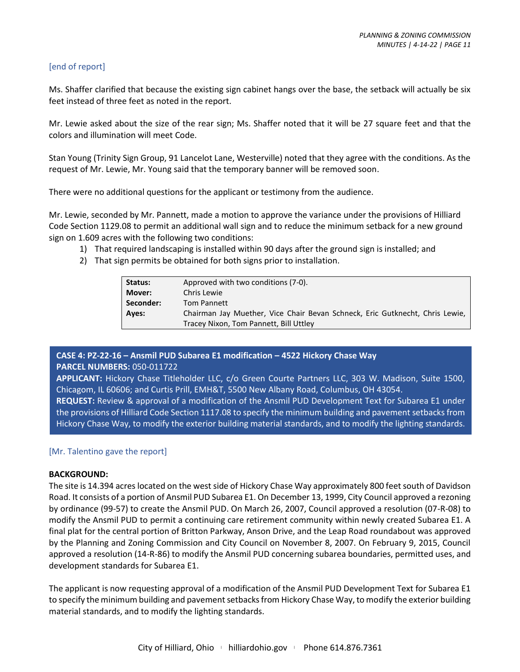#### [end of report]

Ms. Shaffer clarified that because the existing sign cabinet hangs over the base, the setback will actually be six feet instead of three feet as noted in the report.

Mr. Lewie asked about the size of the rear sign; Ms. Shaffer noted that it will be 27 square feet and that the colors and illumination will meet Code.

Stan Young (Trinity Sign Group, 91 Lancelot Lane, Westerville) noted that they agree with the conditions. As the request of Mr. Lewie, Mr. Young said that the temporary banner will be removed soon.

There were no additional questions for the applicant or testimony from the audience.

Mr. Lewie, seconded by Mr. Pannett, made a motion to approve the variance under the provisions of Hilliard Code Section 1129.08 to permit an additional wall sign and to reduce the minimum setback for a new ground sign on 1.609 acres with the following two conditions:

- 1) That required landscaping is installed within 90 days after the ground sign is installed; and
- 2) That sign permits be obtained for both signs prior to installation.

| Status:   | Approved with two conditions (7-0).                                          |
|-----------|------------------------------------------------------------------------------|
| Mover:    | Chris Lewie                                                                  |
| Seconder: | <b>Tom Pannett</b>                                                           |
| Ayes:     | Chairman Jay Muether, Vice Chair Bevan Schneck, Eric Gutknecht, Chris Lewie, |
|           | Tracey Nixon, Tom Pannett, Bill Uttley                                       |

#### **CASE 4: PZ-22-16 – Ansmil PUD Subarea E1 modification – 4522 Hickory Chase Way PARCEL NUMBERS:** 050-011722

**APPLICANT:** Hickory Chase Titleholder LLC, c/o Green Courte Partners LLC, 303 W. Madison, Suite 1500, Chicagom, IL 60606; and Curtis Prill, EMH&T, 5500 New Albany Road, Columbus, OH 43054.

**REQUEST:** Review & approval of a modification of the Ansmil PUD Development Text for Subarea E1 under the provisions of Hilliard Code Section 1117.08 to specify the minimum building and pavement setbacks from Hickory Chase Way, to modify the exterior building material standards, and to modify the lighting standards.

# [Mr. Talentino gave the report]

#### **BACKGROUND:**

The site is 14.394 acres located on the west side of Hickory Chase Way approximately 800 feet south of Davidson Road. It consists of a portion of Ansmil PUD Subarea E1. On December 13, 1999, City Council approved a rezoning by ordinance (99-57) to create the Ansmil PUD. On March 26, 2007, Council approved a resolution (07-R-08) to modify the Ansmil PUD to permit a continuing care retirement community within newly created Subarea E1. A final plat for the central portion of Britton Parkway, Anson Drive, and the Leap Road roundabout was approved by the Planning and Zoning Commission and City Council on November 8, 2007. On February 9, 2015, Council approved a resolution (14-R-86) to modify the Ansmil PUD concerning subarea boundaries, permitted uses, and development standards for Subarea E1.

The applicant is now requesting approval of a modification of the Ansmil PUD Development Text for Subarea E1 to specify the minimum building and pavement setbacks from Hickory Chase Way, to modify the exterior building material standards, and to modify the lighting standards.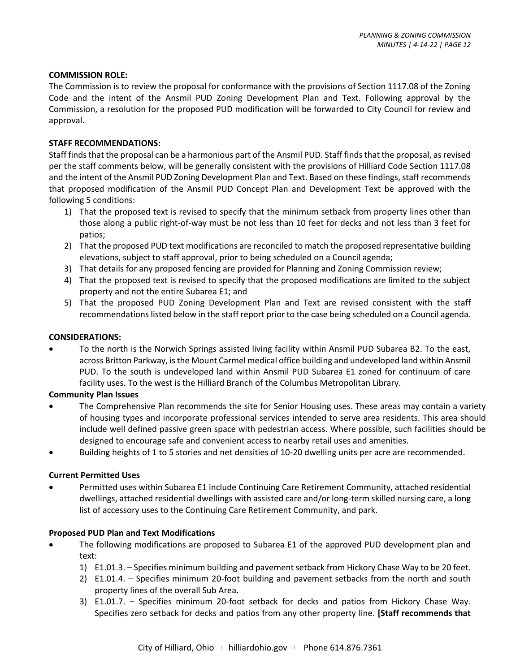#### **COMMISSION ROLE:**

The Commission is to review the proposal for conformance with the provisions of Section 1117.08 of the Zoning Code and the intent of the Ansmil PUD Zoning Development Plan and Text. Following approval by the Commission, a resolution for the proposed PUD modification will be forwarded to City Council for review and approval.

#### **STAFF RECOMMENDATIONS:**

Staff finds that the proposal can be a harmonious part of the Ansmil PUD. Staff finds that the proposal, as revised per the staff comments below, will be generally consistent with the provisions of Hilliard Code Section 1117.08 and the intent of the Ansmil PUD Zoning Development Plan and Text. Based on these findings, staff recommends that proposed modification of the Ansmil PUD Concept Plan and Development Text be approved with the following 5 conditions:

- 1) That the proposed text is revised to specify that the minimum setback from property lines other than those along a public right-of-way must be not less than 10 feet for decks and not less than 3 feet for patios;
- 2) That the proposed PUD text modifications are reconciled to match the proposed representative building elevations, subject to staff approval, prior to being scheduled on a Council agenda;
- 3) That details for any proposed fencing are provided for Planning and Zoning Commission review;
- 4) That the proposed text is revised to specify that the proposed modifications are limited to the subject property and not the entire Subarea E1; and
- 5) That the proposed PUD Zoning Development Plan and Text are revised consistent with the staff recommendations listed below in the staff report prior to the case being scheduled on a Council agenda.

#### **CONSIDERATIONS:**

• To the north is the Norwich Springs assisted living facility within Ansmil PUD Subarea B2. To the east, across Britton Parkway, is the Mount Carmel medical office building and undeveloped land within Ansmil PUD. To the south is undeveloped land within Ansmil PUD Subarea E1 zoned for continuum of care facility uses. To the west is the Hilliard Branch of the Columbus Metropolitan Library.

#### **Community Plan Issues**

- The Comprehensive Plan recommends the site for Senior Housing uses. These areas may contain a variety of housing types and incorporate professional services intended to serve area residents. This area should include well defined passive green space with pedestrian access. Where possible, such facilities should be designed to encourage safe and convenient access to nearby retail uses and amenities.
- Building heights of 1 to 5 stories and net densities of 10-20 dwelling units per acre are recommended.

#### **Current Permitted Uses**

• Permitted uses within Subarea E1 include Continuing Care Retirement Community, attached residential dwellings, attached residential dwellings with assisted care and/or long-term skilled nursing care, a long list of accessory uses to the Continuing Care Retirement Community, and park.

#### **Proposed PUD Plan and Text Modifications**

- The following modifications are proposed to Subarea E1 of the approved PUD development plan and text:
	- 1) E1.01.3. Specifies minimum building and pavement setback from Hickory Chase Way to be 20 feet.
	- 2) E1.01.4. Specifies minimum 20-foot building and pavement setbacks from the north and south property lines of the overall Sub Area.
	- 3) E1.01.7. Specifies minimum 20-foot setback for decks and patios from Hickory Chase Way. Specifies zero setback for decks and patios from any other property line. **[Staff recommends that**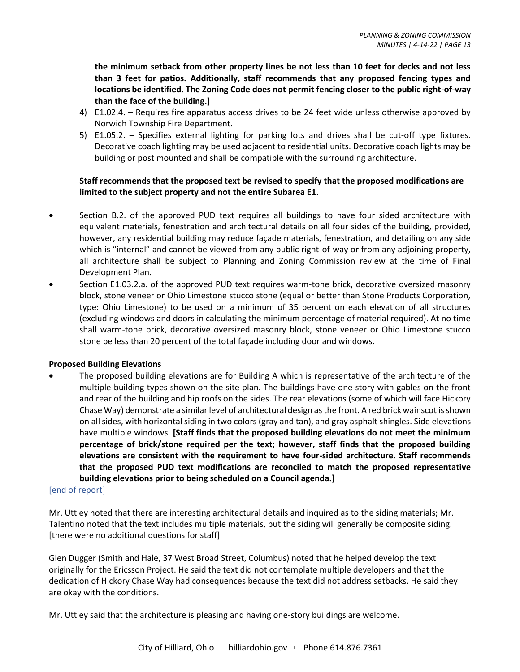**the minimum setback from other property lines be not less than 10 feet for decks and not less than 3 feet for patios. Additionally, staff recommends that any proposed fencing types and locations be identified. The Zoning Code does not permit fencing closer to the public right-of-way than the face of the building.]** 

- 4) E1.02.4. Requires fire apparatus access drives to be 24 feet wide unless otherwise approved by Norwich Township Fire Department.
- 5) E1.05.2. Specifies external lighting for parking lots and drives shall be cut-off type fixtures. Decorative coach lighting may be used adjacent to residential units. Decorative coach lights may be building or post mounted and shall be compatible with the surrounding architecture.

# **Staff recommends that the proposed text be revised to specify that the proposed modifications are limited to the subject property and not the entire Subarea E1.**

- Section B.2. of the approved PUD text requires all buildings to have four sided architecture with equivalent materials, fenestration and architectural details on all four sides of the building, provided, however, any residential building may reduce façade materials, fenestration, and detailing on any side which is "internal" and cannot be viewed from any public right-of-way or from any adjoining property, all architecture shall be subject to Planning and Zoning Commission review at the time of Final Development Plan.
- Section E1.03.2.a. of the approved PUD text requires warm-tone brick, decorative oversized masonry block, stone veneer or Ohio Limestone stucco stone (equal or better than Stone Products Corporation, type: Ohio Limestone) to be used on a minimum of 35 percent on each elevation of all structures (excluding windows and doors in calculating the minimum percentage of material required). At no time shall warm-tone brick, decorative oversized masonry block, stone veneer or Ohio Limestone stucco stone be less than 20 percent of the total façade including door and windows.

# **Proposed Building Elevations**

• The proposed building elevations are for Building A which is representative of the architecture of the multiple building types shown on the site plan. The buildings have one story with gables on the front and rear of the building and hip roofs on the sides. The rear elevations (some of which will face Hickory Chase Way) demonstrate a similar level of architectural design as the front. A red brick wainscot is shown on all sides, with horizontal siding in two colors (gray and tan), and gray asphalt shingles. Side elevations have multiple windows. **[Staff finds that the proposed building elevations do not meet the minimum percentage of brick/stone required per the text; however, staff finds that the proposed building elevations are consistent with the requirement to have four-sided architecture. Staff recommends that the proposed PUD text modifications are reconciled to match the proposed representative building elevations prior to being scheduled on a Council agenda.]**

#### [end of report]

Mr. Uttley noted that there are interesting architectural details and inquired as to the siding materials; Mr. Talentino noted that the text includes multiple materials, but the siding will generally be composite siding. [there were no additional questions for staff]

Glen Dugger (Smith and Hale, 37 West Broad Street, Columbus) noted that he helped develop the text originally for the Ericsson Project. He said the text did not contemplate multiple developers and that the dedication of Hickory Chase Way had consequences because the text did not address setbacks. He said they are okay with the conditions.

Mr. Uttley said that the architecture is pleasing and having one-story buildings are welcome.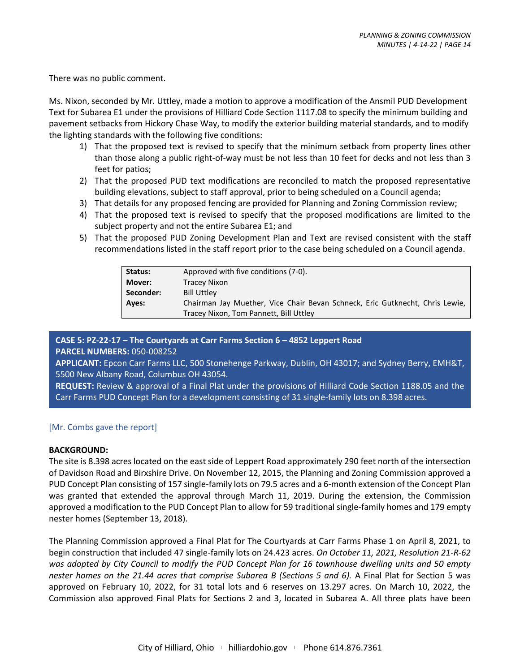There was no public comment.

Ms. Nixon, seconded by Mr. Uttley, made a motion to approve a modification of the Ansmil PUD Development Text for Subarea E1 under the provisions of Hilliard Code Section 1117.08 to specify the minimum building and pavement setbacks from Hickory Chase Way, to modify the exterior building material standards, and to modify the lighting standards with the following five conditions:

- 1) That the proposed text is revised to specify that the minimum setback from property lines other than those along a public right-of-way must be not less than 10 feet for decks and not less than 3 feet for patios;
- 2) That the proposed PUD text modifications are reconciled to match the proposed representative building elevations, subject to staff approval, prior to being scheduled on a Council agenda;
- 3) That details for any proposed fencing are provided for Planning and Zoning Commission review;
- 4) That the proposed text is revised to specify that the proposed modifications are limited to the subject property and not the entire Subarea E1; and
- 5) That the proposed PUD Zoning Development Plan and Text are revised consistent with the staff recommendations listed in the staff report prior to the case being scheduled on a Council agenda.

| Status:   | Approved with five conditions (7-0).                                         |
|-----------|------------------------------------------------------------------------------|
| Mover:    | <b>Tracey Nixon</b>                                                          |
| Seconder: | <b>Bill Uttley</b>                                                           |
| Ayes:     | Chairman Jay Muether, Vice Chair Bevan Schneck, Eric Gutknecht, Chris Lewie, |
|           | Tracey Nixon, Tom Pannett, Bill Uttley                                       |

**CASE 5: PZ-22-17 – The Courtyards at Carr Farms Section 6 – 4852 Leppert Road**

**PARCEL NUMBERS:** 050-008252

**APPLICANT:** Epcon Carr Farms LLC, 500 Stonehenge Parkway, Dublin, OH 43017; and Sydney Berry, EMH&T, 5500 New Albany Road, Columbus OH 43054.

**REQUEST:** Review & approval of a Final Plat under the provisions of Hilliard Code Section 1188.05 and the Carr Farms PUD Concept Plan for a development consisting of 31 single-family lots on 8.398 acres.

# [Mr. Combs gave the report]

#### **BACKGROUND:**

The site is 8.398 acres located on the east side of Leppert Road approximately 290 feet north of the intersection of Davidson Road and Birxshire Drive. On November 12, 2015, the Planning and Zoning Commission approved a PUD Concept Plan consisting of 157 single-family lots on 79.5 acres and a 6-month extension of the Concept Plan was granted that extended the approval through March 11, 2019. During the extension, the Commission approved a modification to the PUD Concept Plan to allow for 59 traditional single-family homes and 179 empty nester homes (September 13, 2018).

The Planning Commission approved a Final Plat for The Courtyards at Carr Farms Phase 1 on April 8, 2021, to begin construction that included 47 single-family lots on 24.423 acres. *On October 11, 2021, Resolution 21-R-62 was adopted by City Council to modify the PUD Concept Plan for 16 townhouse dwelling units and 50 empty nester homes on the 21.44 acres that comprise Subarea B (Sections 5 and 6).* A Final Plat for Section 5 was approved on February 10, 2022, for 31 total lots and 6 reserves on 13.297 acres. On March 10, 2022, the Commission also approved Final Plats for Sections 2 and 3, located in Subarea A. All three plats have been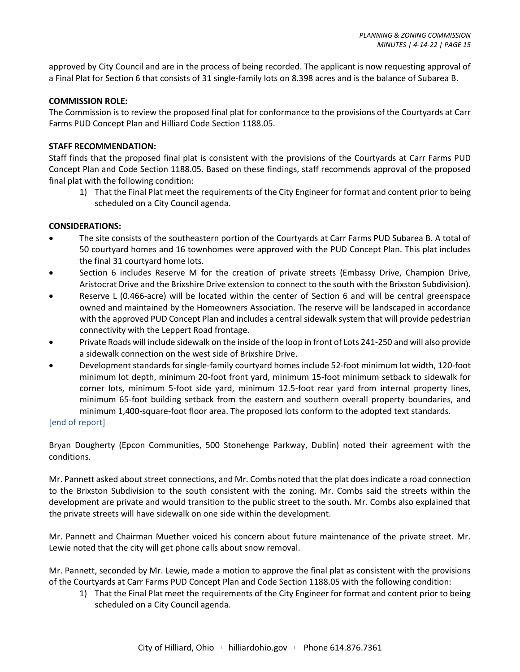approved by City Council and are in the process of being recorded. The applicant is now requesting approval of a Final Plat for Section 6 that consists of 31 single-family lots on 8.398 acres and is the balance of Subarea B.

#### **COMMISSION ROLE:**

The Commission is to review the proposed final plat for conformance to the provisions of the Courtyards at Carr Farms PUD Concept Plan and Hilliard Code Section 1188.05.

# **STAFF RECOMMENDATION:**

Staff finds that the proposed final plat is consistent with the provisions of the Courtyards at Carr Farms PUD Concept Plan and Code Section 1188.05. Based on these findings, staff recommends approval of the proposed final plat with the following condition:

1) That the Final Plat meet the requirements of the City Engineer for format and content prior to being scheduled on a City Council agenda.

#### **CONSIDERATIONS:**

- The site consists of the southeastern portion of the Courtyards at Carr Farms PUD Subarea B. A total of 50 courtyard homes and 16 townhomes were approved with the PUD Concept Plan. This plat includes the final 31 courtyard home lots.
- Section 6 includes Reserve M for the creation of private streets (Embassy Drive, Champion Drive, Aristocrat Drive and the Brixshire Drive extension to connect to the south with the Brixston Subdivision).
- Reserve L (0.466-acre) will be located within the center of Section 6 and will be central greenspace owned and maintained by the Homeowners Association. The reserve will be landscaped in accordance with the approved PUD Concept Plan and includes a central sidewalk system that will provide pedestrian connectivity with the Leppert Road frontage.
- Private Roads will include sidewalk on the inside of the loop in front of Lots 241-250 and will also provide a sidewalk connection on the west side of Brixshire Drive.
- Development standards for single-family courtyard homes include 52-foot minimum lot width, 120-foot minimum lot depth, minimum 20-foot front yard, minimum 15-foot minimum setback to sidewalk for corner lots, minimum 5-foot side yard, minimum 12.5-foot rear yard from internal property lines, minimum 65-foot building setback from the eastern and southern overall property boundaries, and minimum 1,400-square-foot floor area. The proposed lots conform to the adopted text standards.

#### [end of report]

Bryan Dougherty (Epcon Communities, 500 Stonehenge Parkway, Dublin) noted their agreement with the conditions.

Mr. Pannett asked about street connections, and Mr. Combs noted that the plat does indicate a road connection to the Brixston Subdivision to the south consistent with the zoning. Mr. Combs said the streets within the development are private and would transition to the public street to the south. Mr. Combs also explained that the private streets will have sidewalk on one side within the development.

Mr. Pannett and Chairman Muether voiced his concern about future maintenance of the private street. Mr. Lewie noted that the city will get phone calls about snow removal.

Mr. Pannett, seconded by Mr. Lewie, made a motion to approve the final plat as consistent with the provisions of the Courtyards at Carr Farms PUD Concept Plan and Code Section 1188.05 with the following condition:

1) That the Final Plat meet the requirements of the City Engineer for format and content prior to being scheduled on a City Council agenda.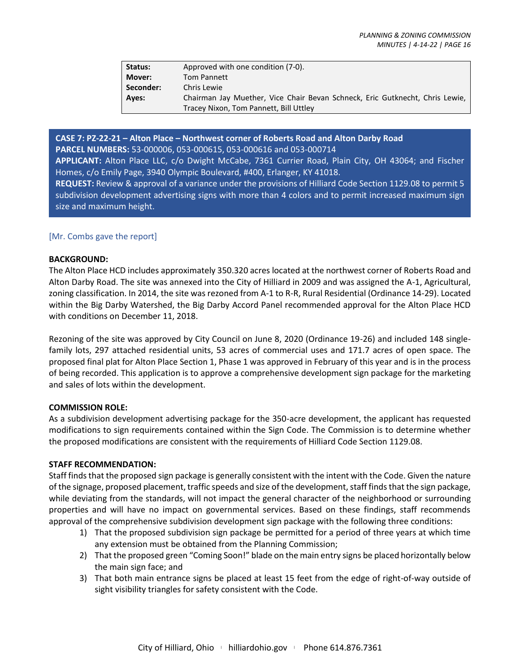| Status:   | Approved with one condition (7-0).                                           |
|-----------|------------------------------------------------------------------------------|
| Mover:    | <b>Tom Pannett</b>                                                           |
| Seconder: | Chris Lewie                                                                  |
| Aves:     | Chairman Jay Muether, Vice Chair Bevan Schneck, Eric Gutknecht, Chris Lewie, |
|           | Tracey Nixon, Tom Pannett, Bill Uttley                                       |

**CASE 7: PZ-22-21 – Alton Place – Northwest corner of Roberts Road and Alton Darby Road PARCEL NUMBERS:** 53-000006, 053-000615, 053-000616 and 053-000714 **APPLICANT:** Alton Place LLC, c/o Dwight McCabe, 7361 Currier Road, Plain City, OH 43064; and Fischer Homes, c/o Emily Page, 3940 Olympic Boulevard, #400, Erlanger, KY 41018. **REQUEST:** Review & approval of a variance under the provisions of Hilliard Code Section 1129.08 to permit 5 subdivision development advertising signs with more than 4 colors and to permit increased maximum sign size and maximum height.

# [Mr. Combs gave the report]

#### **BACKGROUND:**

The Alton Place HCD includes approximately 350.320 acres located at the northwest corner of Roberts Road and Alton Darby Road. The site was annexed into the City of Hilliard in 2009 and was assigned the A-1, Agricultural, zoning classification. In 2014, the site was rezoned from A-1 to R-R, Rural Residential (Ordinance 14-29). Located within the Big Darby Watershed, the Big Darby Accord Panel recommended approval for the Alton Place HCD with conditions on December 11, 2018.

Rezoning of the site was approved by City Council on June 8, 2020 (Ordinance 19-26) and included 148 singlefamily lots, 297 attached residential units, 53 acres of commercial uses and 171.7 acres of open space. The proposed final plat for Alton Place Section 1, Phase 1 was approved in February of this year and is in the process of being recorded. This application is to approve a comprehensive development sign package for the marketing and sales of lots within the development.

#### **COMMISSION ROLE:**

As a subdivision development advertising package for the 350-acre development, the applicant has requested modifications to sign requirements contained within the Sign Code. The Commission is to determine whether the proposed modifications are consistent with the requirements of Hilliard Code Section 1129.08.

#### **STAFF RECOMMENDATION:**

Staff finds that the proposed sign package is generally consistent with the intent with the Code. Given the nature of the signage, proposed placement, traffic speeds and size of the development, staff finds that the sign package, while deviating from the standards, will not impact the general character of the neighborhood or surrounding properties and will have no impact on governmental services. Based on these findings, staff recommends approval of the comprehensive subdivision development sign package with the following three conditions:

- 1) That the proposed subdivision sign package be permitted for a period of three years at which time any extension must be obtained from the Planning Commission;
- 2) That the proposed green "Coming Soon!" blade on the main entry signs be placed horizontally below the main sign face; and
- 3) That both main entrance signs be placed at least 15 feet from the edge of right-of-way outside of sight visibility triangles for safety consistent with the Code.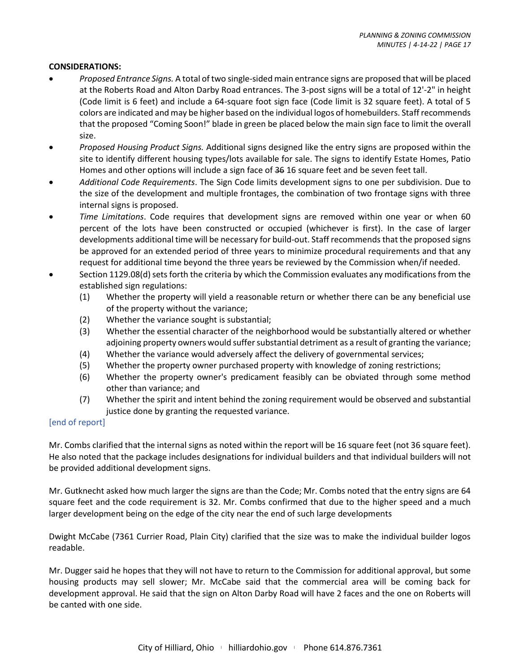#### **CONSIDERATIONS:**

- *Proposed Entrance Signs.* A total of two single-sided main entrance signs are proposed that will be placed at the Roberts Road and Alton Darby Road entrances. The 3-post signs will be a total of 12'-2" in height (Code limit is 6 feet) and include a 64-square foot sign face (Code limit is 32 square feet). A total of 5 colors are indicated and may be higher based on the individual logos of homebuilders. Staff recommends that the proposed "Coming Soon!" blade in green be placed below the main sign face to limit the overall size.
- *Proposed Housing Product Signs.* Additional signs designed like the entry signs are proposed within the site to identify different housing types/lots available for sale. The signs to identify Estate Homes, Patio Homes and other options will include a sign face of 36 16 square feet and be seven feet tall.
- *Additional Code Requirements*. The Sign Code limits development signs to one per subdivision. Due to the size of the development and multiple frontages, the combination of two frontage signs with three internal signs is proposed.
- *Time Limitations*. Code requires that development signs are removed within one year or when 60 percent of the lots have been constructed or occupied (whichever is first). In the case of larger developments additional time will be necessary for build-out. Staff recommends that the proposed signs be approved for an extended period of three years to minimize procedural requirements and that any request for additional time beyond the three years be reviewed by the Commission when/if needed.
- Section 1129.08(d) sets forth the criteria by which the Commission evaluates any modifications from the established sign regulations:
	- (1) Whether the property will yield a reasonable return or whether there can be any beneficial use of the property without the variance;
	- (2) Whether the variance sought is substantial;
	- (3) Whether the essential character of the neighborhood would be substantially altered or whether adjoining property owners would suffer substantial detriment as a result of granting the variance;
	- (4) Whether the variance would adversely affect the delivery of governmental services;
	- (5) Whether the property owner purchased property with knowledge of zoning restrictions;
	- (6) Whether the property owner's predicament feasibly can be obviated through some method other than variance; and
	- (7) Whether the spirit and intent behind the zoning requirement would be observed and substantial justice done by granting the requested variance.

#### [end of report]

Mr. Combs clarified that the internal signs as noted within the report will be 16 square feet (not 36 square feet). He also noted that the package includes designations for individual builders and that individual builders will not be provided additional development signs.

Mr. Gutknecht asked how much larger the signs are than the Code; Mr. Combs noted that the entry signs are 64 square feet and the code requirement is 32. Mr. Combs confirmed that due to the higher speed and a much larger development being on the edge of the city near the end of such large developments

Dwight McCabe (7361 Currier Road, Plain City) clarified that the size was to make the individual builder logos readable.

Mr. Dugger said he hopes that they will not have to return to the Commission for additional approval, but some housing products may sell slower; Mr. McCabe said that the commercial area will be coming back for development approval. He said that the sign on Alton Darby Road will have 2 faces and the one on Roberts will be canted with one side.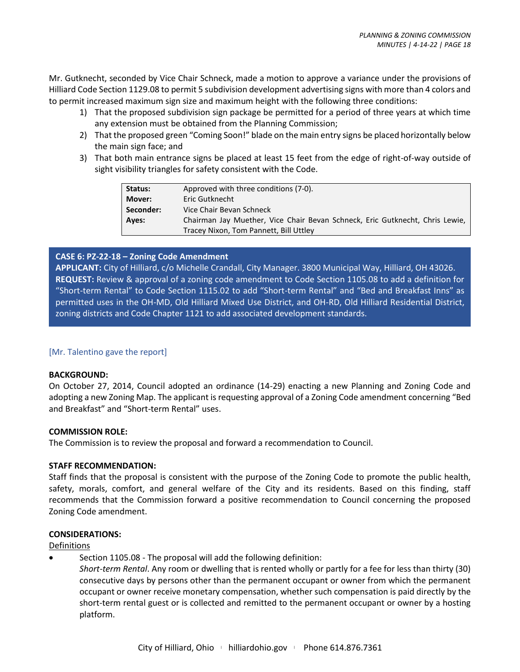Mr. Gutknecht, seconded by Vice Chair Schneck, made a motion to approve a variance under the provisions of Hilliard Code Section 1129.08 to permit 5 subdivision development advertising signs with more than 4 colors and to permit increased maximum sign size and maximum height with the following three conditions:

- 1) That the proposed subdivision sign package be permitted for a period of three years at which time any extension must be obtained from the Planning Commission;
- 2) That the proposed green "Coming Soon!" blade on the main entry signs be placed horizontally below the main sign face; and
- 3) That both main entrance signs be placed at least 15 feet from the edge of right-of-way outside of sight visibility triangles for safety consistent with the Code.

| Status:   | Approved with three conditions (7-0).                                        |
|-----------|------------------------------------------------------------------------------|
| Mover:    | Eric Gutknecht                                                               |
| Seconder: | Vice Chair Bevan Schneck                                                     |
| Ayes:     | Chairman Jay Muether, Vice Chair Bevan Schneck, Eric Gutknecht, Chris Lewie, |
|           | Tracey Nixon, Tom Pannett, Bill Uttley                                       |

# **CASE 6: PZ-22-18 – Zoning Code Amendment**

**APPLICANT:** City of Hilliard, c/o Michelle Crandall, City Manager. 3800 Municipal Way, Hilliard, OH 43026. **REQUEST:** Review & approval of a zoning code amendment to Code Section 1105.08 to add a definition for "Short-term Rental" to Code Section 1115.02 to add "Short-term Rental" and "Bed and Breakfast Inns" as permitted uses in the OH-MD, Old Hilliard Mixed Use District, and OH-RD, Old Hilliard Residential District, zoning districts and Code Chapter 1121 to add associated development standards.

# [Mr. Talentino gave the report]

# **BACKGROUND:**

On October 27, 2014, Council adopted an ordinance (14-29) enacting a new Planning and Zoning Code and adopting a new Zoning Map. The applicant is requesting approval of a Zoning Code amendment concerning "Bed and Breakfast" and "Short-term Rental" uses.

# **COMMISSION ROLE:**

The Commission is to review the proposal and forward a recommendation to Council.

# **STAFF RECOMMENDATION:**

Staff finds that the proposal is consistent with the purpose of the Zoning Code to promote the public health, safety, morals, comfort, and general welfare of the City and its residents. Based on this finding, staff recommends that the Commission forward a positive recommendation to Council concerning the proposed Zoning Code amendment.

# **CONSIDERATIONS:**

# Definitions

• Section 1105.08 - The proposal will add the following definition:

*Short-term Rental*. Any room or dwelling that is rented wholly or partly for a fee for less than thirty (30) consecutive days by persons other than the permanent occupant or owner from which the permanent occupant or owner receive monetary compensation, whether such compensation is paid directly by the short-term rental guest or is collected and remitted to the permanent occupant or owner by a hosting platform.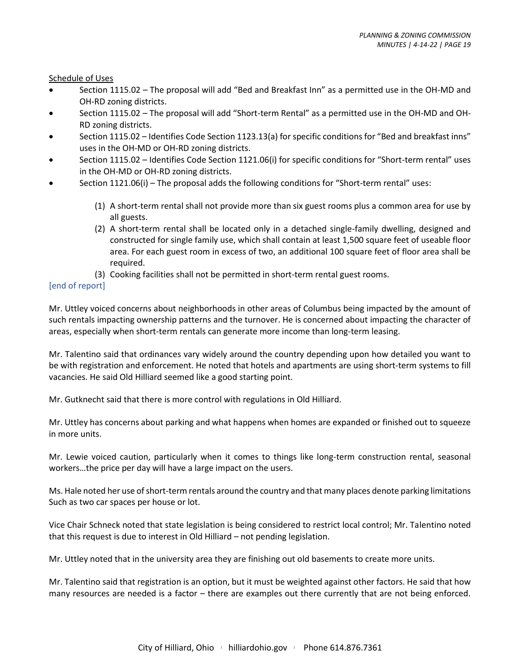#### Schedule of Uses

- Section 1115.02 The proposal will add "Bed and Breakfast Inn" as a permitted use in the OH-MD and OH-RD zoning districts.
- Section 1115.02 The proposal will add "Short-term Rental" as a permitted use in the OH-MD and OH-RD zoning districts.
- Section 1115.02 Identifies Code Section 1123.13(a) for specific conditions for "Bed and breakfast inns" uses in the OH-MD or OH-RD zoning districts.
- Section 1115.02 Identifies Code Section 1121.06(i) for specific conditions for "Short-term rental" uses in the OH-MD or OH-RD zoning districts.
- Section 1121.06(i) The proposal adds the following conditions for "Short-term rental" uses:
	- (1) A short-term rental shall not provide more than six guest rooms plus a common area for use by all guests.
	- (2) A short-term rental shall be located only in a detached single-family dwelling, designed and constructed for single family use, which shall contain at least 1,500 square feet of useable floor area. For each guest room in excess of two, an additional 100 square feet of floor area shall be required.
	- (3) Cooking facilities shall not be permitted in short-term rental guest rooms.

# [end of report]

Mr. Uttley voiced concerns about neighborhoods in other areas of Columbus being impacted by the amount of such rentals impacting ownership patterns and the turnover. He is concerned about impacting the character of areas, especially when short-term rentals can generate more income than long-term leasing.

Mr. Talentino said that ordinances vary widely around the country depending upon how detailed you want to be with registration and enforcement. He noted that hotels and apartments are using short-term systems to fill vacancies. He said Old Hilliard seemed like a good starting point.

Mr. Gutknecht said that there is more control with regulations in Old Hilliard.

Mr. Uttley has concerns about parking and what happens when homes are expanded or finished out to squeeze in more units.

Mr. Lewie voiced caution, particularly when it comes to things like long-term construction rental, seasonal workers…the price per day will have a large impact on the users.

Ms. Hale noted her use of short-term rentals around the country and that many places denote parking limitations Such as two car spaces per house or lot.

Vice Chair Schneck noted that state legislation is being considered to restrict local control; Mr. Talentino noted that this request is due to interest in Old Hilliard – not pending legislation.

Mr. Uttley noted that in the university area they are finishing out old basements to create more units.

Mr. Talentino said that registration is an option, but it must be weighted against other factors. He said that how many resources are needed is a factor – there are examples out there currently that are not being enforced.